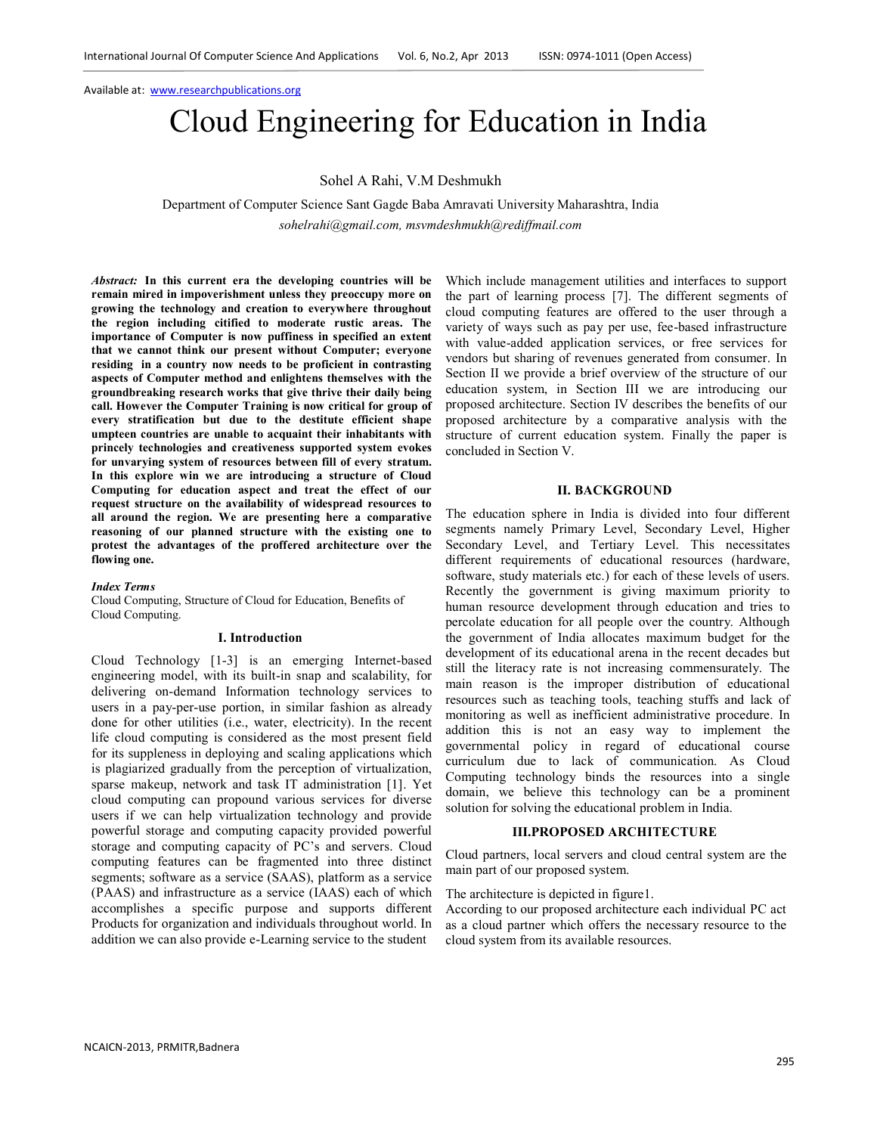# Cloud Engineering for Education in India

Sohel A Rahi, V.M Deshmukh

Department of Computer Science Sant Gagde Baba Amravati University Maharashtra, India *sohelrahi@gmail.com, msvmdeshmukh@rediffmail.com*

*Abstract:* **In this current era the developing countries will be remain mired in impoverishment unless they preoccupy more on growing the technology and creation to everywhere throughout the region including citified to moderate rustic areas. The importance of Computer is now puffiness in specified an extent that we cannot think our present without Computer; everyone residing in a country now needs to be proficient in contrasting aspects of Computer method and enlightens themselves with the groundbreaking research works that give thrive their daily being call. However the Computer Training is now critical for group of every stratification but due to the destitute efficient shape umpteen countries are unable to acquaint their inhabitants with princely technologies and creativeness supported system evokes for unvarying system of resources between fill of every stratum. In this explore win we are introducing a structure of Cloud Computing for education aspect and treat the effect of our request structure on the availability of widespread resources to all around the region. We are presenting here a comparative reasoning of our planned structure with the existing one to protest the advantages of the proffered architecture over the flowing one.**

### *Index Terms*

Cloud Computing, Structure of Cloud for Education, Benefits of Cloud Computing.

#### **I. Introduction**

Cloud Technology [1-3] is an emerging Internet-based engineering model, with its built-in snap and scalability, for delivering on-demand Information technology services to users in a pay-per-use portion, in similar fashion as already done for other utilities (i.e., water, electricity). In the recent life cloud computing is considered as the most present field for its suppleness in deploying and scaling applications which is plagiarized gradually from the perception of virtualization, sparse makeup, network and task IT administration [1]. Yet cloud computing can propound various services for diverse users if we can help virtualization technology and provide powerful storage and computing capacity provided powerful storage and computing capacity of PC's and servers. Cloud computing features can be fragmented into three distinct segments; software as a service (SAAS), platform as a service (PAAS) and infrastructure as a service (IAAS) each of which accomplishes a specific purpose and supports different Products for organization and individuals throughout world. In addition we can also provide e-Learning service to the student

Which include management utilities and interfaces to support the part of learning process [7]. The different segments of cloud computing features are offered to the user through a variety of ways such as pay per use, fee-based infrastructure with value-added application services, or free services for vendors but sharing of revenues generated from consumer. In Section II we provide a brief overview of the structure of our education system, in Section III we are introducing our proposed architecture. Section IV describes the benefits of our proposed architecture by a comparative analysis with the structure of current education system. Finally the paper is concluded in Section V.

#### **II. BACKGROUND**

The education sphere in India is divided into four different segments namely Primary Level, Secondary Level, Higher Secondary Level, and Tertiary Level. This necessitates different requirements of educational resources (hardware, software, study materials etc.) for each of these levels of users. Recently the government is giving maximum priority to human resource development through education and tries to percolate education for all people over the country. Although the government of India allocates maximum budget for the development of its educational arena in the recent decades but still the literacy rate is not increasing commensurately. The main reason is the improper distribution of educational resources such as teaching tools, teaching stuffs and lack of monitoring as well as inefficient administrative procedure. In addition this is not an easy way to implement the governmental policy in regard of educational course curriculum due to lack of communication. As Cloud Computing technology binds the resources into a single domain, we believe this technology can be a prominent solution for solving the educational problem in India.

#### **III.PROPOSED ARCHITECTURE**

Cloud partners, local servers and cloud central system are the main part of our proposed system.

The architecture is depicted in figure1.

According to our proposed architecture each individual PC act as a cloud partner which offers the necessary resource to the cloud system from its available resources.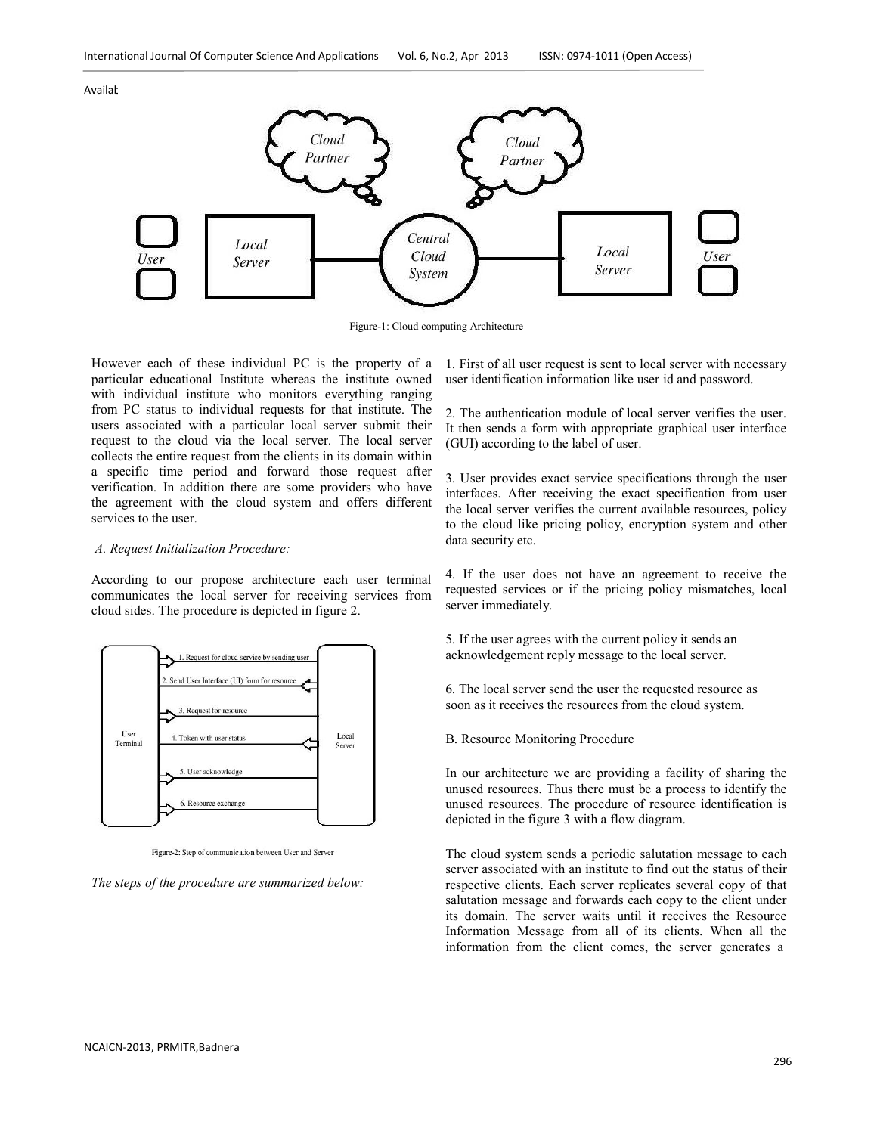

Figure-1: Cloud computing Architecture

However each of these individual PC is the property of a particular educational Institute whereas the institute owned with individual institute who monitors everything ranging from PC status to individual requests for that institute. The users associated with a particular local server submit their request to the cloud via the local server. The local server collects the entire request from the clients in its domain within a specific time period and forward those request after verification. In addition there are some providers who have the agreement with the cloud system and offers different services to the user.

#### *A. Request Initialization Procedure:*

According to our propose architecture each user terminal communicates the local server for receiving services from cloud sides. The procedure is depicted in figure 2.



Figure-2: Step of communication between User and Server

*The steps of the procedure are summarized below:*

1. First of all user request is sent to local server with necessary user identification information like user id and password.

2. The authentication module of local server verifies the user. It then sends a form with appropriate graphical user interface (GUI) according to the label of user.

3. User provides exact service specifications through the user interfaces. After receiving the exact specification from user the local server verifies the current available resources, policy to the cloud like pricing policy, encryption system and other data security etc.

4. If the user does not have an agreement to receive the requested services or if the pricing policy mismatches, local server immediately.

5. If the user agrees with the current policy it sends an acknowledgement reply message to the local server.

6. The local server send the user the requested resource as soon as it receives the resources from the cloud system.

B. Resource Monitoring Procedure

In our architecture we are providing a facility of sharing the unused resources. Thus there must be a process to identify the unused resources. The procedure of resource identification is depicted in the figure 3 with a flow diagram.

The cloud system sends a periodic salutation message to each server associated with an institute to find out the status of their respective clients. Each server replicates several copy of that salutation message and forwards each copy to the client under its domain. The server waits until it receives the Resource Information Message from all of its clients. When all the information from the client comes, the server generates a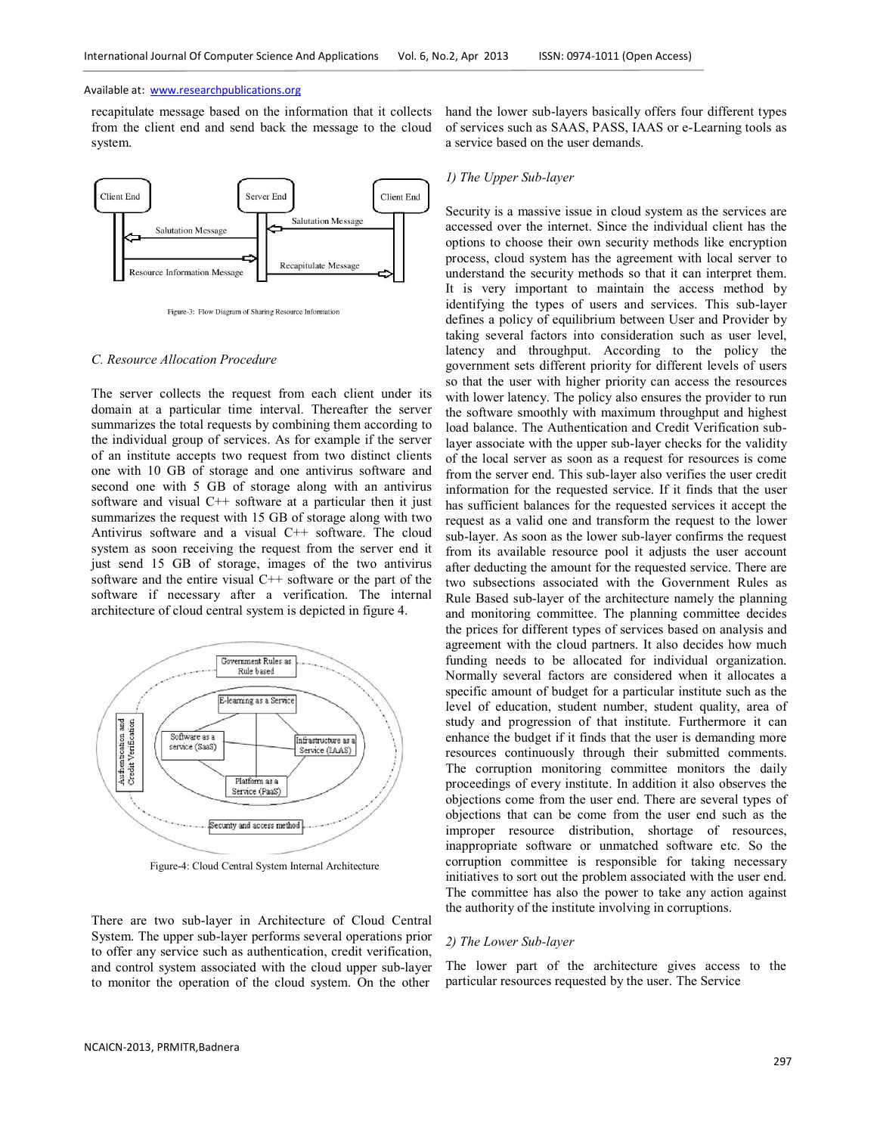recapitulate message based on the information that it collects from the client end and send back the message to the cloud system.



Figure-3: Flow Diagram of Sharing Resource Information

## *C. Resource Allocation Procedure*

The server collects the request from each client under its domain at a particular time interval. Thereafter the server summarizes the total requests by combining them according to the individual group of services. As for example if the server of an institute accepts two request from two distinct clients one with 10 GB of storage and one antivirus software and second one with 5 GB of storage along with an antivirus software and visual C++ software at a particular then it just summarizes the request with 15 GB of storage along with two Antivirus software and a visual C++ software. The cloud system as soon receiving the request from the server end it just send 15 GB of storage, images of the two antivirus software and the entire visual C++ software or the part of the software if necessary after a verification. The internal architecture of cloud central system is depicted in figure 4.



Figure-4: Cloud Central System Internal Architecture

There are two sub-layer in Architecture of Cloud Central System. The upper sub-layer performs several operations prior to offer any service such as authentication, credit verification, and control system associated with the cloud upper sub-layer to monitor the operation of the cloud system. On the other

hand the lower sub-layers basically offers four different types of services such as SAAS, PASS, IAAS or e-Learning tools as a service based on the user demands.

#### *1) The Upper Sub-layer*

Security is a massive issue in cloud system as the services are accessed over the internet. Since the individual client has the options to choose their own security methods like encryption process, cloud system has the agreement with local server to understand the security methods so that it can interpret them. It is very important to maintain the access method by identifying the types of users and services. This sub-layer defines a policy of equilibrium between User and Provider by taking several factors into consideration such as user level, latency and throughput. According to the policy the government sets different priority for different levels of users so that the user with higher priority can access the resources with lower latency. The policy also ensures the provider to run the software smoothly with maximum throughput and highest load balance. The Authentication and Credit Verification sublayer associate with the upper sub-layer checks for the validity of the local server as soon as a request for resources is come from the server end. This sub-layer also verifies the user credit information for the requested service. If it finds that the user has sufficient balances for the requested services it accept the request as a valid one and transform the request to the lower sub-layer. As soon as the lower sub-layer confirms the request from its available resource pool it adjusts the user account after deducting the amount for the requested service. There are two subsections associated with the Government Rules as Rule Based sub-layer of the architecture namely the planning and monitoring committee. The planning committee decides the prices for different types of services based on analysis and agreement with the cloud partners. It also decides how much funding needs to be allocated for individual organization. Normally several factors are considered when it allocates a specific amount of budget for a particular institute such as the level of education, student number, student quality, area of study and progression of that institute. Furthermore it can enhance the budget if it finds that the user is demanding more resources continuously through their submitted comments. The corruption monitoring committee monitors the daily proceedings of every institute. In addition it also observes the objections come from the user end. There are several types of objections that can be come from the user end such as the improper resource distribution, shortage of resources, inappropriate software or unmatched software etc. So the corruption committee is responsible for taking necessary initiatives to sort out the problem associated with the user end. The committee has also the power to take any action against the authority of the institute involving in corruptions.

#### *2) The Lower Sub-layer*

The lower part of the architecture gives access to the particular resources requested by the user. The Service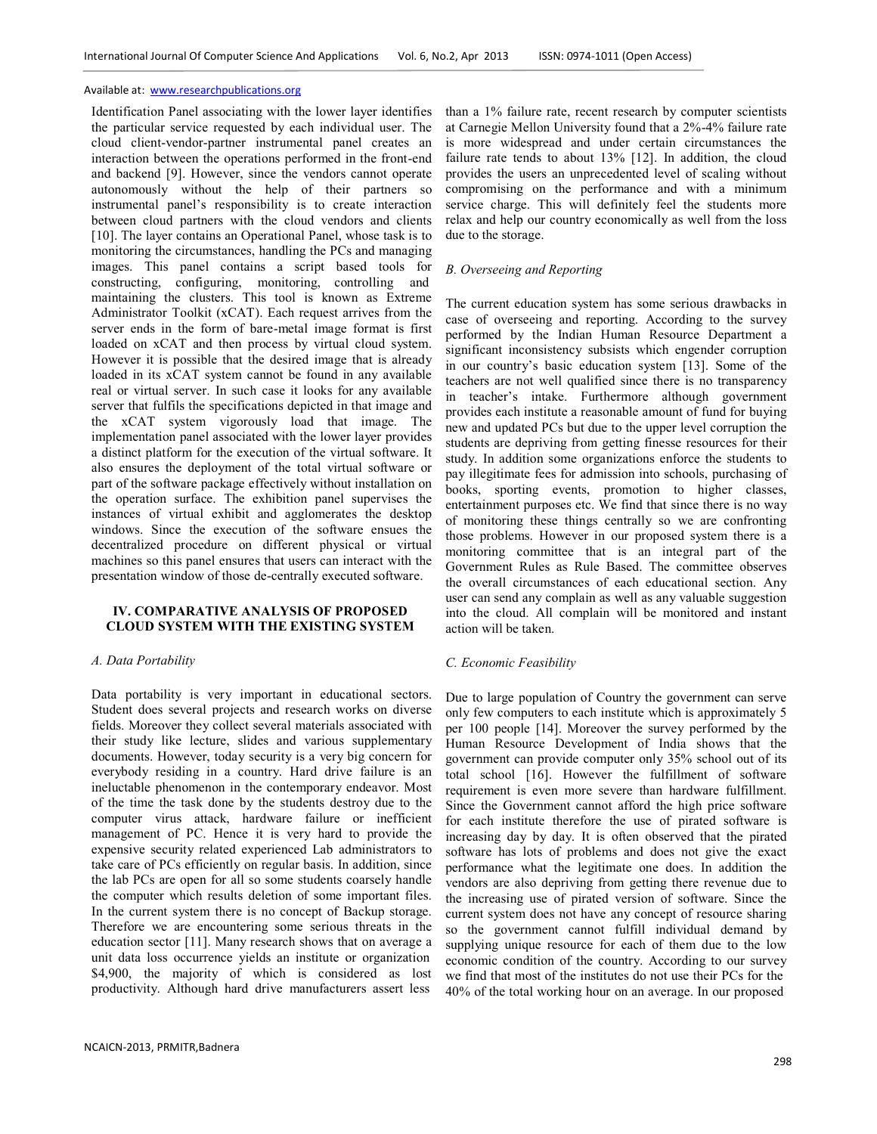Identification Panel associating with the lower layer identifies the particular service requested by each individual user. The cloud client-vendor-partner instrumental panel creates an interaction between the operations performed in the front-end and backend [9]. However, since the vendors cannot operate autonomously without the help of their partners so instrumental panel's responsibility is to create interaction between cloud partners with the cloud vendors and clients [10]. The layer contains an Operational Panel, whose task is to monitoring the circumstances, handling the PCs and managing images. This panel contains a script based tools for constructing, configuring, monitoring, controlling and maintaining the clusters. This tool is known as Extreme Administrator Toolkit (xCAT). Each request arrives from the server ends in the form of bare-metal image format is first loaded on xCAT and then process by virtual cloud system. However it is possible that the desired image that is already loaded in its xCAT system cannot be found in any available real or virtual server. In such case it looks for any available server that fulfils the specifications depicted in that image and the xCAT system vigorously load that image. The implementation panel associated with the lower layer provides a distinct platform for the execution of the virtual software. It also ensures the deployment of the total virtual software or part of the software package effectively without installation on the operation surface. The exhibition panel supervises the instances of virtual exhibit and agglomerates the desktop windows. Since the execution of the software ensues the decentralized procedure on different physical or virtual machines so this panel ensures that users can interact with the presentation window of those de-centrally executed software.

# **IV. COMPARATIVE ANALYSIS OF PROPOSED CLOUD SYSTEM WITH THE EXISTING SYSTEM**

## *A. Data Portability*

Data portability is very important in educational sectors. Student does several projects and research works on diverse fields. Moreover they collect several materials associated with their study like lecture, slides and various supplementary documents. However, today security is a very big concern for everybody residing in a country. Hard drive failure is an ineluctable phenomenon in the contemporary endeavor. Most of the time the task done by the students destroy due to the computer virus attack, hardware failure or inefficient management of PC. Hence it is very hard to provide the expensive security related experienced Lab administrators to take care of PCs efficiently on regular basis. In addition, since the lab PCs are open for all so some students coarsely handle the computer which results deletion of some important files. In the current system there is no concept of Backup storage. Therefore we are encountering some serious threats in the education sector [11]. Many research shows that on average a unit data loss occurrence yields an institute or organization \$4,900, the majority of which is considered as lost productivity. Although hard drive manufacturers assert less

than a 1% failure rate, recent research by computer scientists at Carnegie Mellon University found that a 2%-4% failure rate is more widespread and under certain circumstances the failure rate tends to about 13% [12]. In addition, the cloud provides the users an unprecedented level of scaling without compromising on the performance and with a minimum service charge. This will definitely feel the students more relax and help our country economically as well from the loss due to the storage.

# *B. Overseeing and Reporting*

The current education system has some serious drawbacks in case of overseeing and reporting. According to the survey performed by the Indian Human Resource Department a significant inconsistency subsists which engender corruption in our country's basic education system [13]. Some of the teachers are not well qualified since there is no transparency in teacher's intake. Furthermore although government provides each institute a reasonable amount of fund for buying new and updated PCs but due to the upper level corruption the students are depriving from getting finesse resources for their study. In addition some organizations enforce the students to pay illegitimate fees for admission into schools, purchasing of books, sporting events, promotion to higher classes, entertainment purposes etc. We find that since there is no way of monitoring these things centrally so we are confronting those problems. However in our proposed system there is a monitoring committee that is an integral part of the Government Rules as Rule Based. The committee observes the overall circumstances of each educational section. Any user can send any complain as well as any valuable suggestion into the cloud. All complain will be monitored and instant action will be taken.

# *C. Economic Feasibility*

Due to large population of Country the government can serve only few computers to each institute which is approximately 5 per 100 people [14]. Moreover the survey performed by the Human Resource Development of India shows that the government can provide computer only 35% school out of its total school [16]. However the fulfillment of software requirement is even more severe than hardware fulfillment. Since the Government cannot afford the high price software for each institute therefore the use of pirated software is increasing day by day. It is often observed that the pirated software has lots of problems and does not give the exact performance what the legitimate one does. In addition the vendors are also depriving from getting there revenue due to the increasing use of pirated version of software. Since the current system does not have any concept of resource sharing so the government cannot fulfill individual demand by supplying unique resource for each of them due to the low economic condition of the country. According to our survey we find that most of the institutes do not use their PCs for the 40% of the total working hour on an average. In our proposed